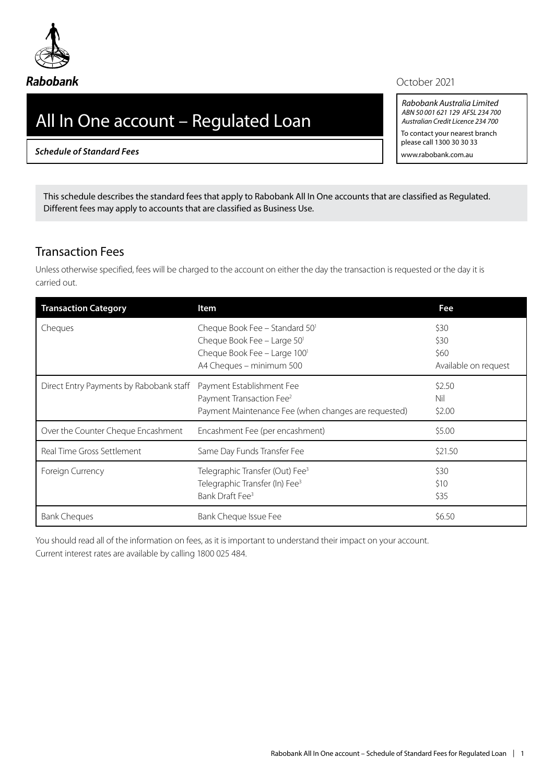October 2021

*Rabobank Australia Limited ABN 50 001 621 129 AFSL 234 700 Australian Credit Licence 234 700* To contact your nearest branch please call 1300 30 30 33 www.rabobank.com.au

# All In One account – Regulated Loan

*Schedule of Standard Fees*

This schedule describes the standard fees that apply to Rabobank All In One accounts that are classified as Regulated. Different fees may apply to accounts that are classified as Business Use.

#### Transaction Fees

Unless otherwise specified, fees will be charged to the account on either the day the transaction is requested or the day it is carried out.

| <b>Transaction Category</b>             | Item                                                                                                                      | Fee                                          |
|-----------------------------------------|---------------------------------------------------------------------------------------------------------------------------|----------------------------------------------|
| Cheques                                 | Cheque Book Fee - Standard 50'<br>Cheque Book Fee - Large 501<br>Cheque Book Fee - Large 1001<br>A4 Cheques - minimum 500 | \$30<br>\$30<br>\$60<br>Available on request |
| Direct Entry Payments by Rabobank staff | Payment Establishment Fee<br>Payment Transaction Fee <sup>2</sup><br>Payment Maintenance Fee (when changes are requested) | \$2.50<br>Nil<br>\$2.00                      |
| Over the Counter Cheque Encashment      | Encashment Fee (per encashment)                                                                                           | \$5.00                                       |
| Real Time Gross Settlement              | Same Day Funds Transfer Fee                                                                                               | \$21.50                                      |
| Foreign Currency                        | Telegraphic Transfer (Out) Fee <sup>3</sup><br>Telegraphic Transfer (In) Fee <sup>3</sup><br>Bank Draft Fee <sup>3</sup>  | \$30<br>\$10<br>\$35                         |
| <b>Bank Cheques</b>                     | Bank Cheque Issue Fee                                                                                                     | \$6.50                                       |

You should read all of the information on fees, as it is important to understand their impact on your account. Current interest rates are available by calling 1800 025 484.



#### **Rabobank**